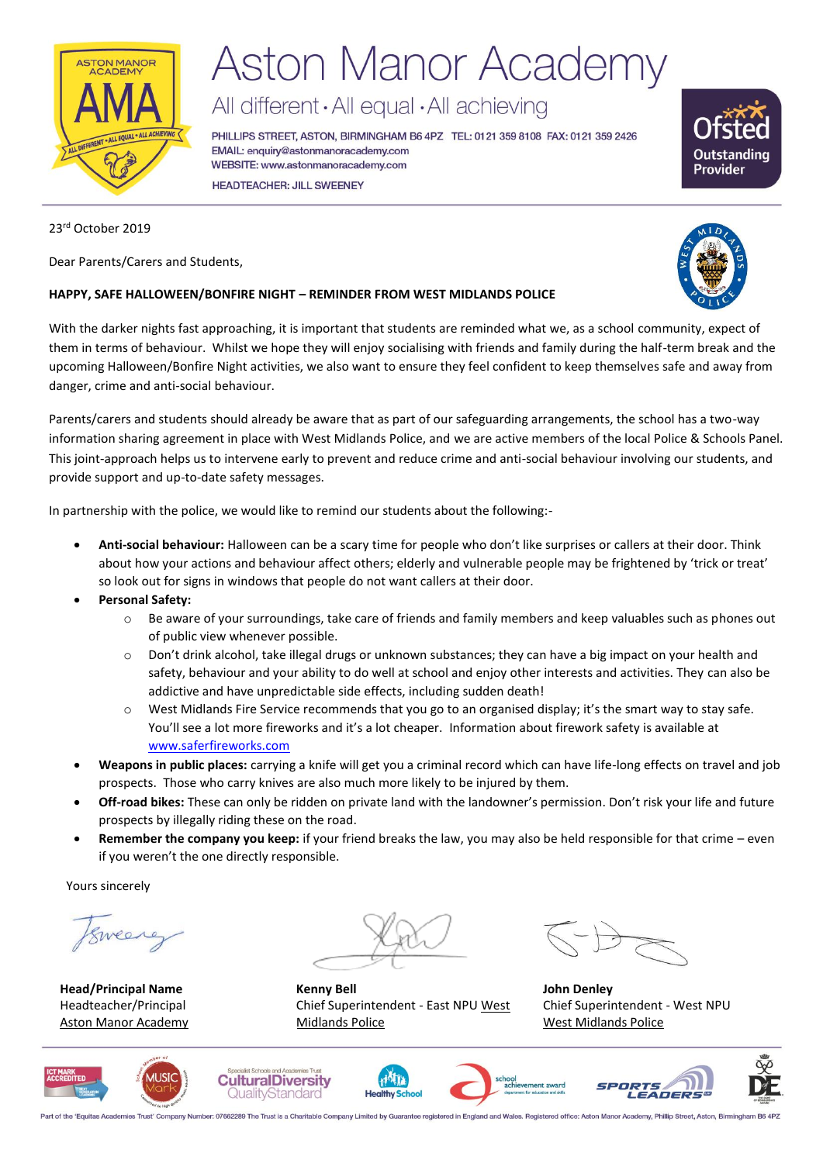

# **Aston Manor Academy**

All different · All equal · All achieving

PHILLIPS STREET, ASTON, BIRMINGHAM B6 4PZ TEL: 0121 359 8108 FAX: 0121 359 2426 EMAIL: enquiry@astonmanoracademy.com WEBSITE: www.astonmanoracademy.com **HEADTEACHER: JILL SWEENEY** 



### 23rd October 2019

Dear Parents/Carers and Students,

### **HAPPY, SAFE HALLOWEEN/BONFIRE NIGHT – REMINDER FROM WEST MIDLANDS POLICE**

With the darker nights fast approaching, it is important that students are reminded what we, as a school community, expect of them in terms of behaviour. Whilst we hope they will enjoy socialising with friends and family during the half-term break and the upcoming Halloween/Bonfire Night activities, we also want to ensure they feel confident to keep themselves safe and away from danger, crime and anti-social behaviour.

Parents/carers and students should already be aware that as part of our safeguarding arrangements, the school has a two-way information sharing agreement in place with West Midlands Police, and we are active members of the local Police & Schools Panel. This joint-approach helps us to intervene early to prevent and reduce crime and anti-social behaviour involving our students, and provide support and up-to-date safety messages.

In partnership with the police, we would like to remind our students about the following:-

- **Anti-social behaviour:** Halloween can be a scary time for people who don't like surprises or callers at their door. Think about how your actions and behaviour affect others; elderly and vulnerable people may be frightened by 'trick or treat' so look out for signs in windows that people do not want callers at their door.
- **Personal Safety:** 
	- o Be aware of your surroundings, take care of friends and family members and keep valuables such as phones out of public view whenever possible.
	- $\circ$  Don't drink alcohol, take illegal drugs or unknown substances; they can have a big impact on your health and safety, behaviour and your ability to do well at school and enjoy other interests and activities. They can also be addictive and have unpredictable side effects, including sudden death!
	- o West Midlands Fire Service recommends that you go to an organised display; it's the smart way to stay safe. You'll see a lot more fireworks and it's a lot cheaper. Information about firework safety is available at [www.saferfireworks.com](http://www.saferfireworks.com/)
- **Weapons in public places:** carrying a knife will get you a criminal record which can have life-long effects on travel and job prospects. Those who carry knives are also much more likely to be injured by them.
- **Off-road bikes:** These can only be ridden on private land with the landowner's permission. Don't risk your life and future prospects by illegally riding these on the road.
- **Remember the company you keep:** if your friend breaks the law, you may also be held responsible for that crime even if you weren't the one directly responsible.

Yours sincerely

Eweerer

**Head/Principal Name** Headteacher/Principal Aston Manor Academy

**Kenny Bell** Chief Superintendent - East NPU West Midlands Police

**John Denley** Chief Superintendent - West NPU West Midlands Police













Part of the 'Equitas Academies Trust' Company Number: 07662289 The Trust is a Charitable Company Limited by Guarantee registered in England and Wales. Registered office: Aston Manor Academy, Phillip Street, Aston, Birmingh